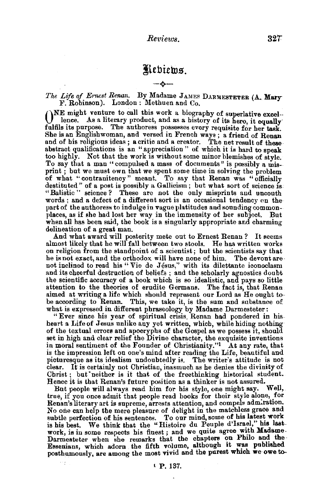## Kebiews. -+-

The Life of Ernest Renan. By Madame JAMES DARMESTETER (A. Mary  $F.$  Robinson). London: Methuen and Co.

()NE might venture to call this work a biography of superlative excel-lence. As a literary product, and as a history of its hero, it equally fulfils its purpose. The authoress possesses every requisite for her task. She is an Englishwoman, and versed in French ways ; a friend of Renan and of his religious ideas; a critic and a creator. The net result of these abstract qualifications is an "appreciation" of which it is hard to speak too highly. Not that the work is without some minor blemishes of style. To say that a man "compulsed a mass of documents" is possibly a misprint ; but we must own that we spent some time in solving the problem of what "contranitency" meant. To say that Renan was "officially destituted '' of a post is possibly a Gallicism; but what sort of science is "Balistic" science? These are not the only misprints and uncouth words ; and a defect of a different sort is an occasional tendency on the part of the authoress to indulge in vague platitudes and sounding commonplaces, as if she had lost her way in the immensity of her subject. But when all has been said, the book is a singularly appropriate and charming

delineation of a great man.<br>
And what award will posterity mete out to Ernest Renan? It seems<br>
almost likely that he will fall between two stools. He has written works<br>
on religion from the standpoint of a scientist; but t not inclined to read his "Vie de Jésus," with its dilettante iconoclasm and its cheerful destruction of beliefs ; and the scholarly agnostics doubt the scientific accuracy of a book which is so idealistic, and pays so little attention to the theories of erudite Germans. The fact is, that Renan aimed at writing a life which should represent our Lord as He ought to be according to Renan. This, we take it, is the sum and substance of what is expressed in different phraseology by Madame Darmesteter:

"Ever since his year of spiritual crisis, Renan had pondered in hisheart a Life of Jesus unlike any yet written, which, while hiding nothing of the textual errors and apocrypha of the Gospel as we possess it, should set in high and clear relief the Divine character, the exquisite inventions in moral sentiment of the Founder of Christianity."<sup>1</sup> At any rate, that is the impression left on one's mind after reading the Life, beautiful and picturesque as its idealism undoubtedly is. The writer's attitude is not clear. It is certainly not Christian, inasmuch as he denies the divinity of Christ; but 'neither is it that of the freethinking historical student. Renee it is that Renan's future position as a thinker is not assured.

But people will always read him for his style, one might say. true, if you once admit that people read books for their style alone, for Renan's literary art is supreme, arrests attention, and compels admiration. No one can help the mere pleasure of delight in the matchless grace and subtle perfection of his sentences. To our mind, some of his latest work is his best. We think that the "Histoire du Peuple d'Israel," his lastwork, is in some respects his finest; and we quite agree with Madame. Darmesteter when she remarks that the chapters on Philo and the Essenians, which adorn the fifth volume, although it was published posthumously, are among the most vivid and the purest which we owe to-

m.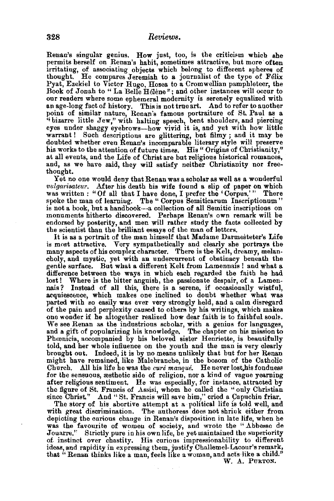Renan's singular genius. How just, too, is the criticism which she permits herself on Renan's habit, sometimes attractive, but more often irritating, of associating objects which belong to different spheres of thought. He compares Jeremiah to a journalist of the type of Felix Pyat, Ezekiel to Victor Hugo, Hosea to a Cromwellian pamphleteer, the Book of Jonah to "La Belle Helene"; and other instances will occur to our readers where some ephemeral modernity is serenely equalized with an age-long fact of history. This is not true art. And to refer to another point of similar nature, Renan's famous portraiture of St. Paul as a ''bizarre little Jew," with halting speech, bent shoulders, and piercing eyes under shaggy eyebrows-how vivid it is, and yet with how little warrant ! Such descriptions are glittering, but filmy ; and it may be doubted whether even Renan's incomparable literary style will preserve his works to the attention of future times. His " Origins of Christianity," at all events, and the Life of Christ are but religious historical romances, and, as we have said, they will satisfy neither Christianity nor freethought.

Yet no one would deny that Renan was a scholar as well as a wonderful  $vulgarisateur$ . After his death his wife found a slip of paper on which was written : "Of all that I have done, I prefer the 'Corpus.'" There spoke the man of learning. The " Corpus Semiticarum Inscriptionum" is not a book, but a handbook-a collection of all Semitic inscriptions on monuments hitherto discovered. Perhaps Renan's own remark will be endorsed by posterity, and men will rather study the facts collected by the scientist than the brilliant essays of the man of letters.

It is as a portrait of the man himself that Madame Darmesteter's Life is most attractive. Very sympathetically and clearly she portrays the many aspects of his complex character. There is the Kelt, dreamy, melancholy, and mystic, yet with an undercurrent of obstinacy beneath the gentle surface. But what a different Kelt from Lamennais ! and what a difference between the ways in which each regarded the faith he bad lost! Where is the bitter anguish, the passionate despair, of a Lamen-<br>nais? Instead of all this, there is a serene, if occasionally wistful. nais? Instead of all this, there is a serene, if occasionally wistful, parted with so easily was ever very strongly held, and a calm disregard of the pain and perplexity caused to others by his writings, which makes one wonder if he altogether realized how dear faith is to faithful souls. We see Renan as the industrious scholar, with a genius for languages, and a gift of popularizing his knowledge. The chapter on his mission to Phoenicia, accompanied by his beloved sister Henriette, is beautifully told, and her whole influence on the youth and the man is very clearly brought out. Indeed, it is by no means unlikely that but for her Renan might have remained, like Malebranche, in the bosom of the Catholic Church. All his life be was the *cure manque.* Heneverlost,hisfondness for the sensuous, æsthetic side of religion, nor a kind of vague yearning after religious sentiment. He was especially, for instance, attracted by the figure of St. Francis of Assisi, whom he called the " only Christian since Christ." And "St. Francis will save him," cried a Capuchin friar.

The story of his abortive attempt at a political life is told well, and with great discrimination. The authoress does not shrink either from depicting the curious change in Renan's disposition in late life, wben be was the favourite of womeu of society, and wrote the "Abbesse de Jouarre." Strictly pure in his own life, he yet maintained the superiority of. instinct over chastity. His curious impressionability to different ideas, and rapidity in expressing them, justify Challemel-Lacour's remark, that "Renan thinks like a man, feels like a woman, and acts like a child."

W. A. PURTON.